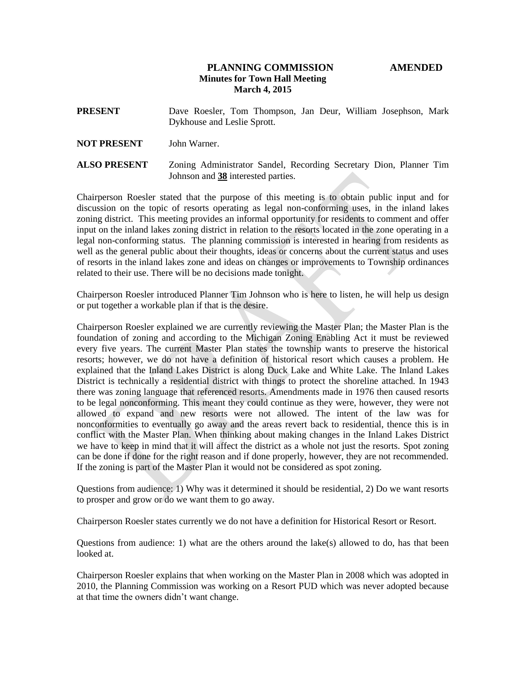# **PLANNING COMMISSION AMENDED Minutes for Town Hall Meeting March 4, 2015**

# **PRESENT** Dave Roesler, Tom Thompson, Jan Deur, William Josephson, Mark Dykhouse and Leslie Sprott.

### **NOT PRESENT** John Warner.

**ALSO PRESENT** Zoning Administrator Sandel, Recording Secretary Dion, Planner Tim Johnson and **38** interested parties.

Chairperson Roesler stated that the purpose of this meeting is to obtain public input and for discussion on the topic of resorts operating as legal non-conforming uses, in the inland lakes zoning district. This meeting provides an informal opportunity for residents to comment and offer input on the inland lakes zoning district in relation to the resorts located in the zone operating in a legal non-conforming status. The planning commission is interested in hearing from residents as well as the general public about their thoughts, ideas or concerns about the current status and uses of resorts in the inland lakes zone and ideas on changes or improvements to Township ordinances related to their use. There will be no decisions made tonight.

Chairperson Roesler introduced Planner Tim Johnson who is here to listen, he will help us design or put together a workable plan if that is the desire.

Chairperson Roesler explained we are currently reviewing the Master Plan; the Master Plan is the foundation of zoning and according to the Michigan Zoning Enabling Act it must be reviewed every five years. The current Master Plan states the township wants to preserve the historical resorts; however, we do not have a definition of historical resort which causes a problem. He explained that the Inland Lakes District is along Duck Lake and White Lake. The Inland Lakes District is technically a residential district with things to protect the shoreline attached. In 1943 there was zoning language that referenced resorts. Amendments made in 1976 then caused resorts to be legal nonconforming. This meant they could continue as they were, however, they were not allowed to expand and new resorts were not allowed. The intent of the law was for nonconformities to eventually go away and the areas revert back to residential, thence this is in conflict with the Master Plan. When thinking about making changes in the Inland Lakes District we have to keep in mind that it will affect the district as a whole not just the resorts. Spot zoning can be done if done for the right reason and if done properly, however, they are not recommended. If the zoning is part of the Master Plan it would not be considered as spot zoning.

Questions from audience: 1) Why was it determined it should be residential, 2) Do we want resorts to prosper and grow or do we want them to go away.

Chairperson Roesler states currently we do not have a definition for Historical Resort or Resort.

Questions from audience: 1) what are the others around the lake(s) allowed to do, has that been looked at.

Chairperson Roesler explains that when working on the Master Plan in 2008 which was adopted in 2010, the Planning Commission was working on a Resort PUD which was never adopted because at that time the owners didn't want change.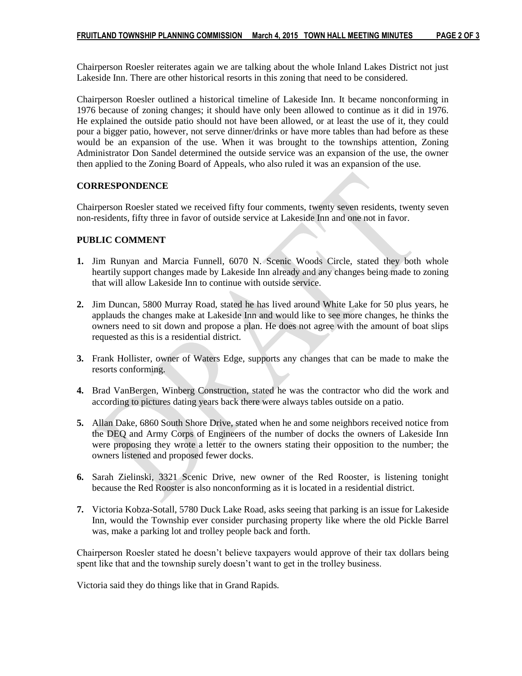Chairperson Roesler reiterates again we are talking about the whole Inland Lakes District not just Lakeside Inn. There are other historical resorts in this zoning that need to be considered.

Chairperson Roesler outlined a historical timeline of Lakeside Inn. It became nonconforming in 1976 because of zoning changes; it should have only been allowed to continue as it did in 1976. He explained the outside patio should not have been allowed, or at least the use of it, they could pour a bigger patio, however, not serve dinner/drinks or have more tables than had before as these would be an expansion of the use. When it was brought to the townships attention, Zoning Administrator Don Sandel determined the outside service was an expansion of the use, the owner then applied to the Zoning Board of Appeals, who also ruled it was an expansion of the use.

## **CORRESPONDENCE**

Chairperson Roesler stated we received fifty four comments, twenty seven residents, twenty seven non-residents, fifty three in favor of outside service at Lakeside Inn and one not in favor.

## **PUBLIC COMMENT**

- **1.** Jim Runyan and Marcia Funnell, 6070 N. Scenic Woods Circle, stated they both whole heartily support changes made by Lakeside Inn already and any changes being made to zoning that will allow Lakeside Inn to continue with outside service.
- **2.** Jim Duncan, 5800 Murray Road, stated he has lived around White Lake for 50 plus years, he applauds the changes make at Lakeside Inn and would like to see more changes, he thinks the owners need to sit down and propose a plan. He does not agree with the amount of boat slips requested as this is a residential district.
- **3.** Frank Hollister, owner of Waters Edge, supports any changes that can be made to make the resorts conforming.
- **4.** Brad VanBergen, Winberg Construction, stated he was the contractor who did the work and according to pictures dating years back there were always tables outside on a patio.
- **5.** Allan Dake, 6860 South Shore Drive, stated when he and some neighbors received notice from the DEQ and Army Corps of Engineers of the number of docks the owners of Lakeside Inn were proposing they wrote a letter to the owners stating their opposition to the number; the owners listened and proposed fewer docks.
- **6.** Sarah Zielinski, 3321 Scenic Drive, new owner of the Red Rooster, is listening tonight because the Red Rooster is also nonconforming as it is located in a residential district.
- **7.** Victoria Kobza-Sotall, 5780 Duck Lake Road, asks seeing that parking is an issue for Lakeside Inn, would the Township ever consider purchasing property like where the old Pickle Barrel was, make a parking lot and trolley people back and forth.

Chairperson Roesler stated he doesn't believe taxpayers would approve of their tax dollars being spent like that and the township surely doesn't want to get in the trolley business.

Victoria said they do things like that in Grand Rapids.